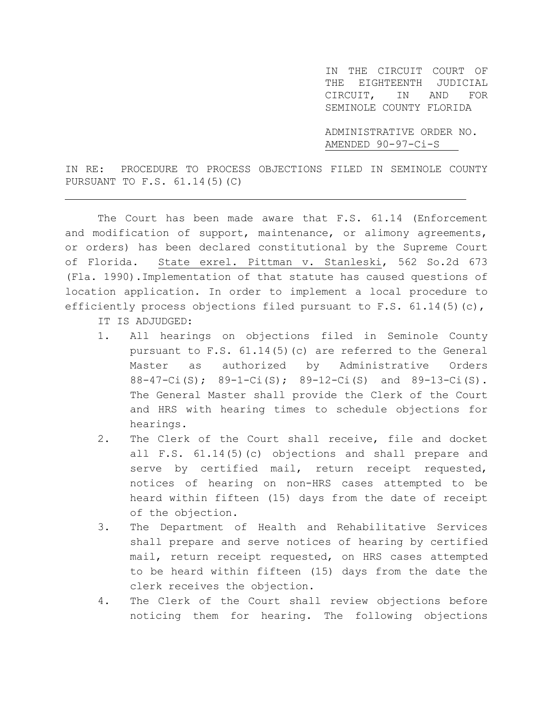IN THE CIRCUIT COURT OF THE EIGHTEENTH JUDICIAL CIRCUIT, IN AND FOR SEMINOLE COUNTY FLORIDA

ADMINISTRATIVE ORDER NO. AMENDED 90-97-Ci-S

IN RE: PROCEDURE TO PROCESS OBJECTIONS FILED IN SEMINOLE COUNTY PURSUANT TO F.S. 61.14(5)(C)

The Court has been made aware that F.S. 61.14 (Enforcement and modification of support, maintenance, or alimony agreements, or orders) has been declared constitutional by the Supreme Court of Florida. State exrel. Pittman v. Stanleski, 562 So.2d 673 (Fla. 1990).Implementation of that statute has caused questions of location application. In order to implement a local procedure to efficiently process objections filed pursuant to F.S.  $61.14(5)(c)$ ,

IT IS ADJUDGED:

j.

- 1. All hearings on objections filed in Seminole County pursuant to F.S. 61.14(5)(c) are referred to the General Master as authorized by Administrative Orders 88-47-Ci(S); 89-1-Ci(S); 89-12-Ci(S) and 89-13-Ci(S). The General Master shall provide the Clerk of the Court and HRS with hearing times to schedule objections for hearings.
- 2. The Clerk of the Court shall receive, file and docket all F.S. 61.14(5)(c) objections and shall prepare and serve by certified mail, return receipt requested, notices of hearing on non-HRS cases attempted to be heard within fifteen (15) days from the date of receipt of the objection.
- 3. The Department of Health and Rehabilitative Services shall prepare and serve notices of hearing by certified mail, return receipt requested, on HRS cases attempted to be heard within fifteen (15) days from the date the clerk receives the objection.
- 4. The Clerk of the Court shall review objections before noticing them for hearing. The following objections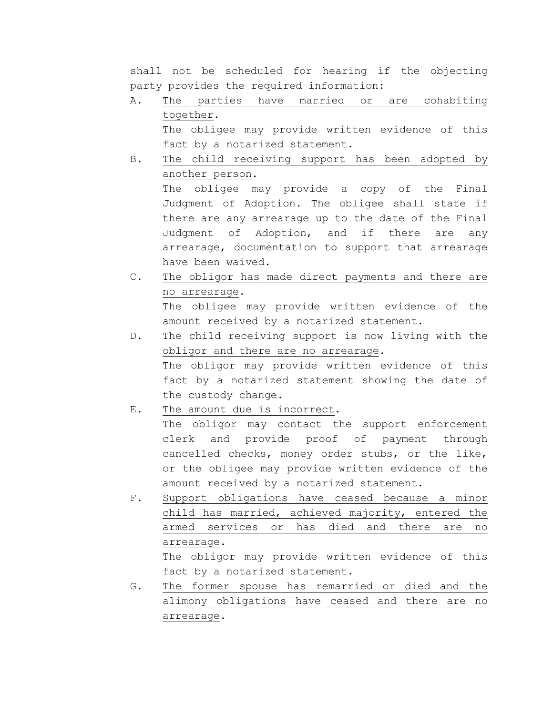shall not be scheduled for hearing if the objecting party provides the required information:

- A. The parties have married or are cohabiting together. The obligee may provide written evidence of this fact by a notarized statement.
- B. The child receiving support has been adopted by another person. The obligee may provide a copy of the Final Judgment of Adoption. The obligee shall state if there are any arrearage up to the date of the Final Judgment of Adoption, and if there are any arrearage, documentation to support that arrearage have been waived.
- C. The obligor has made direct payments and there are no arrearage. The obligee may provide written evidence of the amount received by a notarized statement.
- D. The child receiving support is now living with the obligor and there are no arrearage. The obligor may provide written evidence of this fact by a notarized statement showing the date of the custody change.
- E. The amount due is incorrect.

The obligor may contact the support enforcement clerk and provide proof of payment through cancelled checks, money order stubs, or the like, or the obligee may provide written evidence of the amount received by a notarized statement.

F. Support obligations have ceased because a minor child has married, achieved majority, entered the armed services or has died and there are no arrearage.

The obligor may provide written evidence of this fact by a notarized statement.

G. The former spouse has remarried or died and the alimony obligations have ceased and there are no arrearage.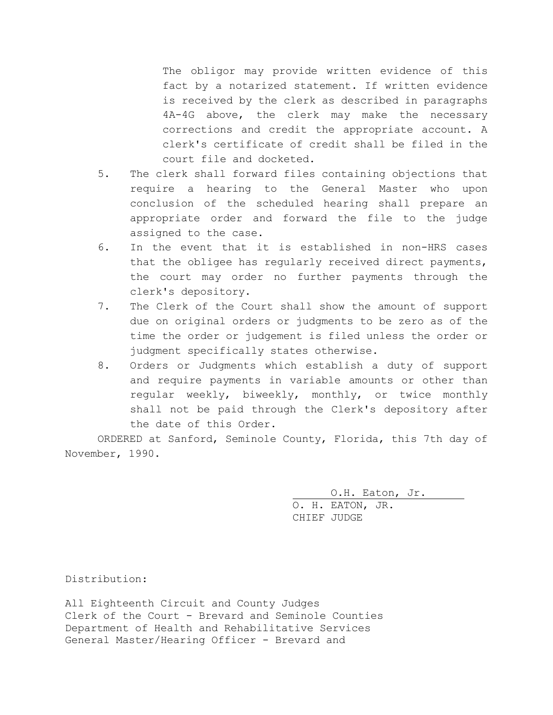The obligor may provide written evidence of this fact by a notarized statement. If written evidence is received by the clerk as described in paragraphs 4A-4G above, the clerk may make the necessary corrections and credit the appropriate account. A clerk's certificate of credit shall be filed in the court file and docketed.

- 5. The clerk shall forward files containing objections that require a hearing to the General Master who upon conclusion of the scheduled hearing shall prepare an appropriate order and forward the file to the judge assigned to the case.
- 6. In the event that it is established in non-HRS cases that the obligee has regularly received direct payments, the court may order no further payments through the clerk's depository.
- 7. The Clerk of the Court shall show the amount of support due on original orders or judgments to be zero as of the time the order or judgement is filed unless the order or judgment specifically states otherwise.
- 8. Orders or Judgments which establish a duty of support and require payments in variable amounts or other than regular weekly, biweekly, monthly, or twice monthly shall not be paid through the Clerk's depository after the date of this Order.

ORDERED at Sanford, Seminole County, Florida, this 7th day of November, 1990.

> O.H. Eaton, Jr. O. H. EATON, JR. CHIEF JUDGE

Distribution:

All Eighteenth Circuit and County Judges Clerk of the Court - Brevard and Seminole Counties Department of Health and Rehabilitative Services General Master/Hearing Officer - Brevard and